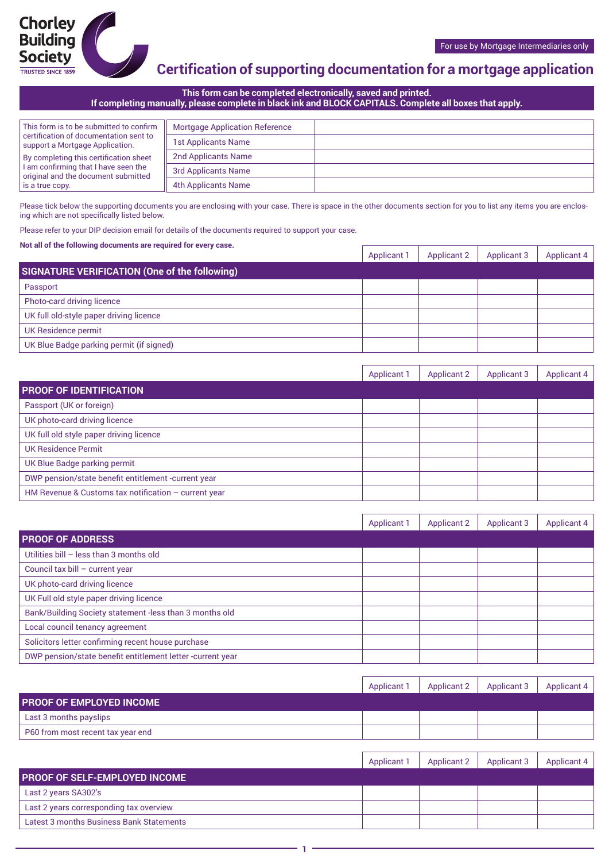## **Certification of supporting documentation for a mortgage application**

**This form can be completed electronically, saved and printed. If completing manually, please complete in black ink and BLOCK CAPITALS. Complete all boxes that apply.**

| This form is to be submitted to confirm                                     | <b>Mortgage Application Reference</b> |  |
|-----------------------------------------------------------------------------|---------------------------------------|--|
| certification of documentation sent to<br>support a Mortgage Application.   | <b>1st Applicants Name</b>            |  |
| By completing this certification sheet                                      | 2nd Applicants Name                   |  |
| I am confirming that I have seen the<br>original and the document submitted | 3rd Applicants Name                   |  |
| is a true copy.                                                             | 4th Applicants Name                   |  |

Please tick below the supporting documents you are enclosing with your case. There is space in the other documents section for you to list any items you are enclosing which are not specifically listed below.

Please refer to your DIP decision email for details of the documents required to support your case.

#### **Not all of the following documents are required for every case.**

|                                               | Applicant | <b>Applicant 2</b> | <b>Applicant 3</b> | <b>Applicant 4</b> |
|-----------------------------------------------|-----------|--------------------|--------------------|--------------------|
| SIGNATURE VERIFICATION (One of the following) |           |                    |                    |                    |
| Passport                                      |           |                    |                    |                    |
| Photo-card driving licence                    |           |                    |                    |                    |
| UK full old-style paper driving licence       |           |                    |                    |                    |
| UK Residence permit                           |           |                    |                    |                    |
| UK Blue Badge parking permit (if signed)      |           |                    |                    |                    |

|                                                        | <b>Applicant 1</b> | <b>Applicant 2</b> | <b>Applicant 3</b> | Applicant 4 |
|--------------------------------------------------------|--------------------|--------------------|--------------------|-------------|
| <b>PROOF OF IDENTIFICATION</b>                         |                    |                    |                    |             |
| Passport (UK or foreign)                               |                    |                    |                    |             |
| UK photo-card driving licence                          |                    |                    |                    |             |
| UK full old style paper driving licence                |                    |                    |                    |             |
| <b>UK Residence Permit</b>                             |                    |                    |                    |             |
| UK Blue Badge parking permit                           |                    |                    |                    |             |
| DWP pension/state benefit entitlement -current year    |                    |                    |                    |             |
| HM Revenue & Customs tax notification $-$ current year |                    |                    |                    |             |

|                                                            | <b>Applicant 1</b> | <b>Applicant 2</b> | <b>Applicant 3</b> | <b>Applicant 4</b> |
|------------------------------------------------------------|--------------------|--------------------|--------------------|--------------------|
| <b>PROOF OF ADDRESS</b>                                    |                    |                    |                    |                    |
| Utilities bill - less than 3 months old                    |                    |                    |                    |                    |
| Council tax bill - current year                            |                    |                    |                    |                    |
| UK photo-card driving licence                              |                    |                    |                    |                    |
| UK Full old style paper driving licence                    |                    |                    |                    |                    |
| Bank/Building Society statement -less than 3 months old    |                    |                    |                    |                    |
| Local council tenancy agreement                            |                    |                    |                    |                    |
| Solicitors letter confirming recent house purchase         |                    |                    |                    |                    |
| DWP pension/state benefit entitlement letter -current year |                    |                    |                    |                    |

|                                   | <b>Applicant 1</b> | <b>Applicant 2</b> | <b>Applicant 3</b> | Applicant 4 |
|-----------------------------------|--------------------|--------------------|--------------------|-------------|
| <b>PROOF OF EMPLOYED INCOME</b>   |                    |                    |                    |             |
| Last 3 months payslips            |                    |                    |                    |             |
| P60 from most recent tax year end |                    |                    |                    |             |

|                                          | <b>Applicant 1</b> | Applicant 2 | <b>Applicant 3</b> | Applicant 4 |
|------------------------------------------|--------------------|-------------|--------------------|-------------|
| <b>PROOF OF SELF-EMPLOYED INCOME</b>     |                    |             |                    |             |
| Last 2 years SA302's                     |                    |             |                    |             |
| Last 2 years corresponding tax overview  |                    |             |                    |             |
| Latest 3 months Business Bank Statements |                    |             |                    |             |
|                                          |                    |             |                    |             |